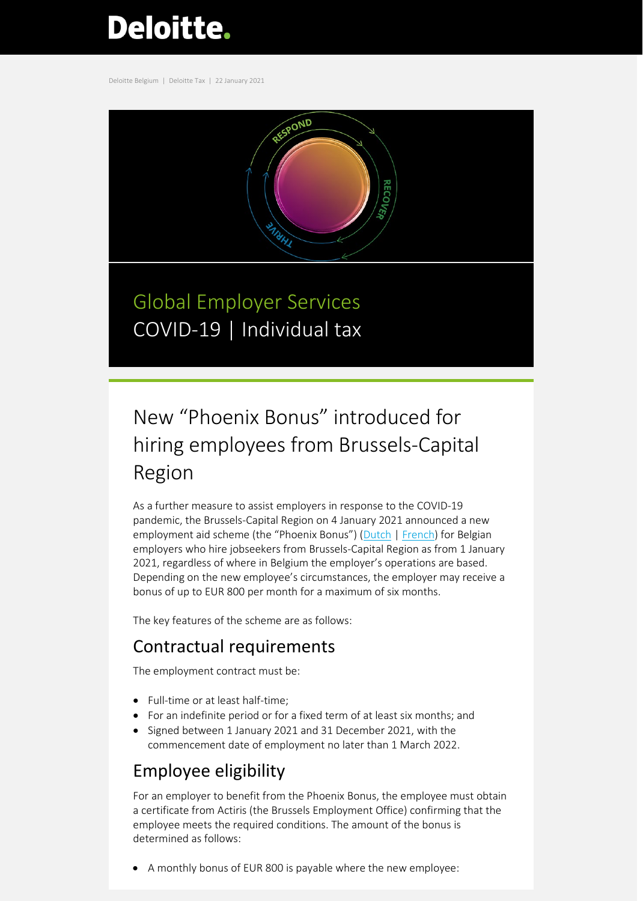# **Deloitte.**

Deloitte Belgium | Deloitte Tax | 22 January 2021



Global Employer Services COVID-19 | Individual tax

# New "Phoenix Bonus" introduced for hiring employees from Brussels-Capital Region

As a further measure to assist employers in response to the COVID-19 pandemic, the Brussels-Capital Region on 4 January 2021 announced a new employment aid scheme (the "Phoenix Bonus") [\(Dutch](https://www.actiris.brussels/nl/burgers/phoenix-brussels/) [| French\)](https://www.actiris.brussels/fr/citoyens/phoenix-brussels/) for Belgian employers who hire jobseekers from Brussels-Capital Region as from 1 January 2021, regardless of where in Belgium the employer's operations are based. Depending on the new employee's circumstances, the employer may receive a bonus of up to EUR 800 per month for a maximum of six months.

The key features of the scheme are as follows:

### Contractual requirements

The employment contract must be:

- Full-time or at least half-time;
- For an indefinite period or for a fixed term of at least six months; and
- Signed between 1 January 2021 and 31 December 2021, with the commencement date of employment no later than 1 March 2022.

## Employee eligibility

For an employer to benefit from the Phoenix Bonus, the employee must obtain a certificate from Actiris (the Brussels Employment Office) confirming that the employee meets the required conditions. The amount of the bonus is determined as follows:

• A monthly bonus of EUR 800 is payable where the new employee: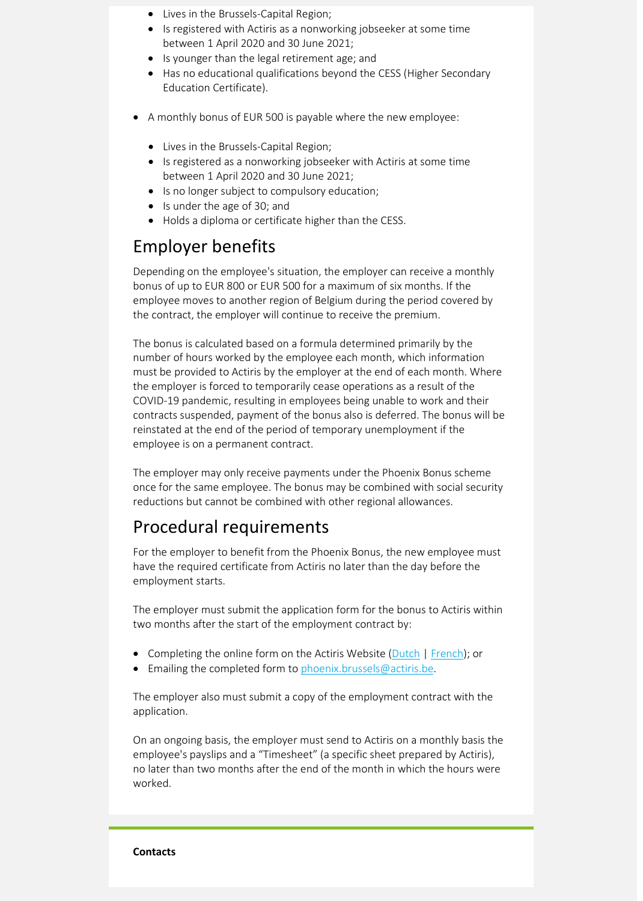- Lives in the Brussels-Capital Region;
- Is registered with Actiris as a nonworking jobseeker at some time between 1 April 2020 and 30 June 2021;
- Is younger than the legal retirement age; and
- Has no educational qualifications beyond the CESS (Higher Secondary Education Certificate).
- A monthly bonus of EUR 500 is payable where the new employee:
	- Lives in the Brussels-Capital Region;
	- Is registered as a nonworking jobseeker with Actiris at some time between 1 April 2020 and 30 June 2021;
	- Is no longer subject to compulsory education;
	- Is under the age of 30; and
	- Holds a diploma or certificate higher than the CESS.

#### Employer benefits

Depending on the employee's situation, the employer can receive a monthly bonus of up to EUR 800 or EUR 500 for a maximum of six months. If the employee moves to another region of Belgium during the period covered by the contract, the employer will continue to receive the premium.

The bonus is calculated based on a formula determined primarily by the number of hours worked by the employee each month, which information must be provided to Actiris by the employer at the end of each month. Where the employer is forced to temporarily cease operations as a result of the COVID-19 pandemic, resulting in employees being unable to work and their contracts suspended, payment of the bonus also is deferred. The bonus will be reinstated at the end of the period of temporary unemployment if the employee is on a permanent contract.

The employer may only receive payments under the Phoenix Bonus scheme once for the same employee. The bonus may be combined with social security reductions but cannot be combined with other regional allowances.

#### Procedural requirements

For the employer to benefit from the Phoenix Bonus, the new employee must have the required certificate from Actiris no later than the day before the employment starts.

The employer must submit the application form for the bonus to Actiris within two months after the start of the employment contract by:

- Completing the online form on the Actiris Website [\(Dutch](https://www.actiris.brussels/media/3rhmsxmg/formulaire-de-demande-de-prime-phoenix-brussels_emp_nl-h-8A1BBA64.pdf) [| French\)](https://www.actiris.brussels/media/o22l5j3v/formulaire-de-demande-de-prime-phoenix-bressels_emp_fr-h-76AC51A9.pdf); or
- Emailing the completed form to [phoenix.brussels@actiris.be.](mailto:phoenix.brussels@actiris.be)

The employer also must submit a copy of the employment contract with the application.

On an ongoing basis, the employer must send to Actiris on a monthly basis the employee's payslips and a "Timesheet" (a specific sheet prepared by Actiris), no later than two months after the end of the month in which the hours were worked.

#### **Contacts**